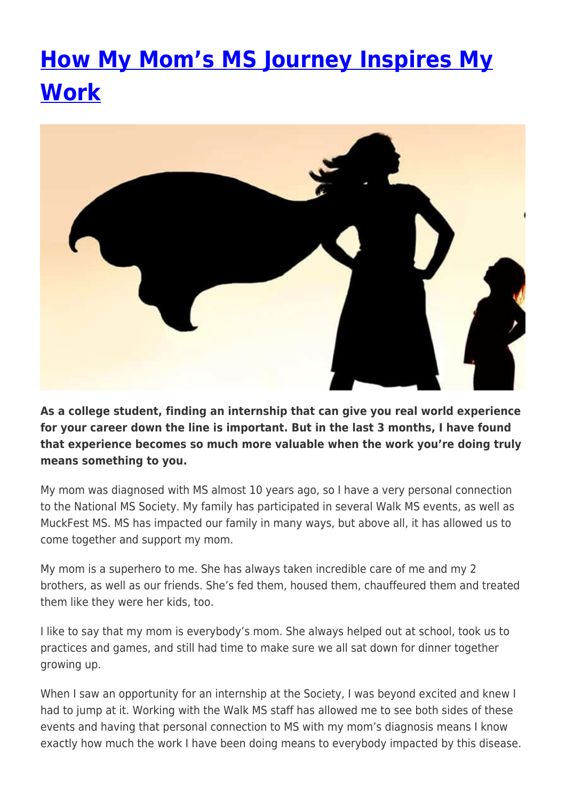## **[How My Mom's MS Journey Inspires My](https://momentummagazineonline.com/blog/how-my-moms-ms-journey-inspires-my-work/) [Work](https://momentummagazineonline.com/blog/how-my-moms-ms-journey-inspires-my-work/)**



**As a college student, finding an internship that can give you real world experience for your career down the line is important. But in the last 3 months, I have found that experience becomes so much more valuable when the work you're doing truly means something to you.**

My mom was diagnosed with MS almost 10 years ago, so I have a very personal connection to the National MS Society. My family has participated in several Walk MS events, as well as MuckFest MS. MS has impacted our family in many ways, but above all, it has allowed us to come together and support my mom.

My mom is a superhero to me. She has always taken incredible care of me and my 2 brothers, as well as our friends. She's fed them, housed them, chauffeured them and treated them like they were her kids, too.

I like to say that my mom is everybody's mom. She always helped out at school, took us to practices and games, and still had time to make sure we all sat down for dinner together growing up.

When I saw an opportunity for an internship at the Society, I was beyond excited and knew I had to jump at it. Working with the Walk MS staff has allowed me to see both sides of these events and having that personal connection to MS with my mom's diagnosis means I know exactly how much the work I have been doing means to everybody impacted by this disease.